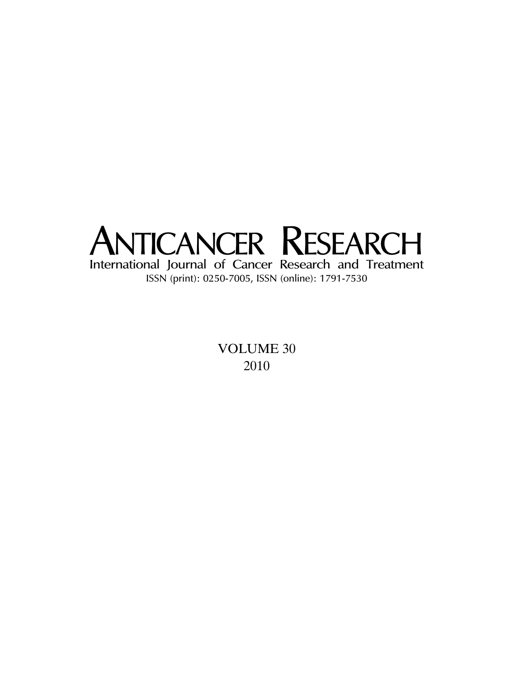

VOLUME 30 2010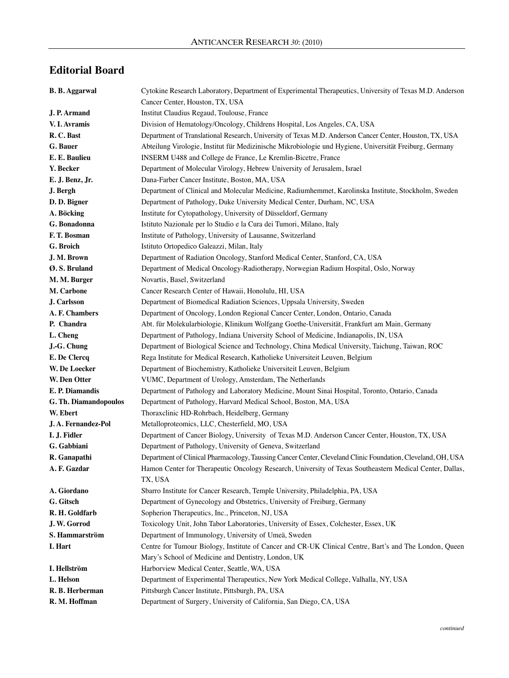## **Editorial Board**

| <b>B. B. Aggarwal</b> | Cytokine Research Laboratory, Department of Experimental Therapeutics, University of Texas M.D. Anderson            |
|-----------------------|---------------------------------------------------------------------------------------------------------------------|
|                       | Cancer Center, Houston, TX, USA                                                                                     |
| J. P. Armand          | Institut Claudius Regaud, Toulouse, France                                                                          |
| V. I. Avramis         | Division of Hematology/Oncology, Childrens Hospital, Los Angeles, CA, USA                                           |
| R.C. Bast             | Department of Translational Research, University of Texas M.D. Anderson Cancer Center, Houston, TX, USA             |
| G. Bauer              | Abteilung Virologie, Institut für Medizinische Mikrobiologie und Hygiene, Universität Freiburg, Germany             |
| E. E. Baulieu         | INSERM U488 and College de France, Le Kremlin-Bicetre, France                                                       |
| Y. Becker             | Department of Molecular Virology, Hebrew University of Jerusalem, Israel                                            |
| E. J. Benz, Jr.       | Dana-Farber Cancer Institute, Boston, MA, USA                                                                       |
| J. Bergh              | Department of Clinical and Molecular Medicine, Radiumhemmet, Karolinska Institute, Stockholm, Sweden                |
| D. D. Bigner          | Department of Pathology, Duke University Medical Center, Durham, NC, USA                                            |
| A. Böcking            | Institute for Cytopathology, University of Düsseldorf, Germany                                                      |
| G. Bonadonna          | Istituto Nazionale per lo Studio e la Cura dei Tumori, Milano, Italy                                                |
| F.T. Bosman           | Institute of Pathology, University of Lausanne, Switzerland                                                         |
| G. Broich             | Istituto Ortopedico Galeazzi, Milan, Italy                                                                          |
| J. M. Brown           | Department of Radiation Oncology, Stanford Medical Center, Stanford, CA, USA                                        |
| Ø. S. Bruland         | Department of Medical Oncology-Radiotherapy, Norwegian Radium Hospital, Oslo, Norway                                |
| M. M. Burger          | Novartis, Basel, Switzerland                                                                                        |
| M. Carbone            | Cancer Research Center of Hawaii, Honolulu, HI, USA                                                                 |
| J. Carlsson           | Department of Biomedical Radiation Sciences, Uppsala University, Sweden                                             |
| A. F. Chambers        | Department of Oncology, London Regional Cancer Center, London, Ontario, Canada                                      |
| P. Chandra            | Abt. für Molekularbiologie, Klinikum Wolfgang Goethe-Universität, Frankfurt am Main, Germany                        |
| L. Cheng              | Department of Pathology, Indiana University School of Medicine, Indianapolis, IN, USA                               |
| J.-G. Chung           | Department of Biological Science and Technology, China Medical University, Taichung, Taiwan, ROC                    |
| E. De Clercq          | Rega Institute for Medical Research, Katholieke Universiteit Leuven, Belgium                                        |
| W. De Loecker         | Department of Biochemistry, Katholieke Universiteit Leuven, Belgium                                                 |
| W. Den Otter          | VUMC, Department of Urology, Amsterdam, The Netherlands                                                             |
| E. P. Diamandis       | Department of Pathology and Laboratory Medicine, Mount Sinai Hospital, Toronto, Ontario, Canada                     |
| G. Th. Diamandopoulos | Department of Pathology, Harvard Medical School, Boston, MA, USA                                                    |
| W. Ebert              | Thoraxclinic HD-Rohrbach, Heidelberg, Germany                                                                       |
| J.A. Fernandez-Pol    | Metalloproteomics, LLC, Chesterfield, MO, USA                                                                       |
| I. J. Fidler          | Department of Cancer Biology, University of Texas M.D. Anderson Cancer Center, Houston, TX, USA                     |
| G. Gabbiani           | Department of Pathology, University of Geneva, Switzerland                                                          |
| R. Ganapathi          | Department of Clinical Pharmacology, Taussing Cancer Center, Cleveland Clinic Foundation, Cleveland, OH, USA        |
| A. F. Gazdar          | Hamon Center for Therapeutic Oncology Research, University of Texas Southeastern Medical Center, Dallas,<br>TX, USA |
| A. Giordano           | Sbarro Institute for Cancer Research, Temple University, Philadelphia, PA, USA                                      |
| G. Gitsch             | Department of Gynecology and Obstetrics, University of Freiburg, Germany                                            |
| R. H. Goldfarb        | Sopherion Therapeutics, Inc., Princeton, NJ, USA                                                                    |
| J. W. Gorrod          | Toxicology Unit, John Tabor Laboratories, University of Essex, Colchester, Essex, UK                                |
| S. Hammarström        | Department of Immunology, University of Umeä, Sweden                                                                |
| I. Hart               | Centre for Tumour Biology, Institute of Cancer and CR-UK Clinical Centre, Bart's and The London, Queen              |
|                       | Mary's School of Medicine and Dentistry, London, UK                                                                 |
| I. Hellström          | Harborview Medical Center, Seattle, WA, USA                                                                         |
| L. Helson             | Department of Experimental Therapeutics, New York Medical College, Valhalla, NY, USA                                |
| R. B. Herberman       | Pittsburgh Cancer Institute, Pittsburgh, PA, USA                                                                    |
| R. M. Hoffman         | Department of Surgery, University of California, San Diego, CA, USA                                                 |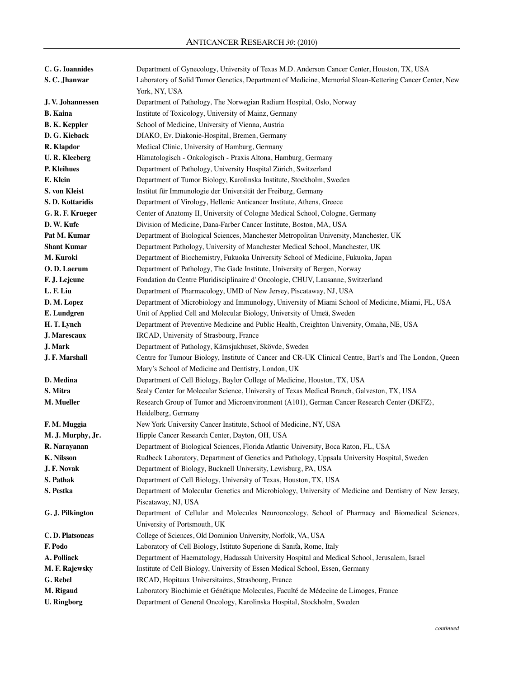| C. G. Ioannides      | Department of Gynecology, University of Texas M.D. Anderson Cancer Center, Houston, TX, USA             |
|----------------------|---------------------------------------------------------------------------------------------------------|
| S.C. Jhanwar         | Laboratory of Solid Tumor Genetics, Department of Medicine, Memorial Sloan-Kettering Cancer Center, New |
|                      | York, NY, USA                                                                                           |
| J.V. Johannessen     | Department of Pathology, The Norwegian Radium Hospital, Oslo, Norway                                    |
| <b>B.</b> Kaina      | Institute of Toxicology, University of Mainz, Germany                                                   |
| <b>B. K. Keppler</b> | School of Medicine, University of Vienna, Austria                                                       |
| D. G. Kieback        | DIAKO, Ev. Diakonie-Hospital, Bremen, Germany                                                           |
| R. Klapdor           | Medical Clinic, University of Hamburg, Germany                                                          |
| <b>U.R. Kleeberg</b> | Hämatologisch - Onkologisch - Praxis Altona, Hamburg, Germany                                           |
| P. Kleihues          | Department of Pathology, University Hospital Zürich, Switzerland                                        |
| E. Klein             | Department of Tumor Biology, Karolinska Institute, Stockholm, Sweden                                    |
| S. von Kleist        | Institut für Immunologie der Universität der Freiburg, Germany                                          |
| S.D. Kottaridis      | Department of Virology, Hellenic Anticancer Institute, Athens, Greece                                   |
| G. R. F. Krueger     | Center of Anatomy II, University of Cologne Medical School, Cologne, Germany                            |
| D. W. Kufe           | Division of Medicine, Dana-Farber Cancer Institute, Boston, MA, USA                                     |
| Pat M. Kumar         | Department of Biological Sciences, Manchester Metropolitan University, Manchester, UK                   |
| <b>Shant Kumar</b>   | Department Pathology, University of Manchester Medical School, Manchester, UK                           |
| M. Kuroki            | Department of Biochemistry, Fukuoka University School of Medicine, Fukuoka, Japan                       |
| O.D. Laerum          | Department of Pathology, The Gade Institute, University of Bergen, Norway                               |
| F. J. Lejeune        | Fondation du Centre Pluridisciplinaire d'Oncologie, CHUV, Lausanne, Switzerland                         |
| L. F. Liu            | Department of Pharmacology, UMD of New Jersey, Piscataway, NJ, USA                                      |
| D. M. Lopez          | Department of Microbiology and Immunology, University of Miami School of Medicine, Miami, FL, USA       |
| E. Lundgren          | Unit of Applied Cell and Molecular Biology, University of Umeä, Sweden                                  |
| H.T. Lynch           | Department of Preventive Medicine and Public Health, Creighton University, Omaha, NE, USA               |
| J. Marescaux         | IRCAD, University of Strasbourg, France                                                                 |
| <b>J. Mark</b>       | Department of Pathology, Kärnsjukhuset, Skövde, Sweden                                                  |
| J. F. Marshall       | Centre for Tumour Biology, Institute of Cancer and CR-UK Clinical Centre, Bart's and The London, Queen  |
|                      | Mary's School of Medicine and Dentistry, London, UK                                                     |
| D. Medina            | Department of Cell Biology, Baylor College of Medicine, Houston, TX, USA                                |
| S. Mitra             | Sealy Center for Molecular Science, University of Texas Medical Branch, Galveston, TX, USA              |
| M. Mueller           | Research Group of Tumor and Microenvironment (A101), German Cancer Research Center (DKFZ),              |
|                      | Heidelberg, Germany                                                                                     |
| F. M. Muggia         | New York University Cancer Institute, School of Medicine, NY, USA                                       |
| M. J. Murphy, Jr.    | Hipple Cancer Research Center, Dayton, OH, USA                                                          |
| R. Narayanan         | Department of Biological Sciences, Florida Atlantic University, Boca Raton, FL, USA                     |
| <b>K. Nilsson</b>    | Rudbeck Laboratory, Department of Genetics and Pathology, Uppsala University Hospital, Sweden           |
| J. F. Novak          | Department of Biology, Bucknell University, Lewisburg, PA, USA                                          |
| S. Pathak            | Department of Cell Biology, University of Texas, Houston, TX, USA                                       |
| S. Pestka            | Department of Molecular Genetics and Microbiology, University of Medicine and Dentistry of New Jersey,  |
|                      | Piscataway, NJ, USA                                                                                     |
| G. J. Pilkington     | Department of Cellular and Molecules Neurooncology, School of Pharmacy and Biomedical Sciences,         |
|                      | University of Portsmouth, UK                                                                            |
| C.D. Platsoucas      | College of Sciences, Old Dominion University, Norfolk, VA, USA                                          |
| F. Podo              | Laboratory of Cell Biology, Istituto Superione di Sanità, Rome, Italy                                   |
| A. Polliack          | Department of Haematology, Hadassah University Hospital and Medical School, Jerusalem, Israel           |
| M. F. Rajewsky       | Institute of Cell Biology, University of Essen Medical School, Essen, Germany                           |
| G. Rebel             | IRCAD, Hopitaux Universitaires, Strasbourg, France                                                      |
| M. Rigaud            | Laboratory Biochimie et Génétique Molecules, Faculté de Médecine de Limoges, France                     |
| <b>U.</b> Ringborg   | Department of General Oncology, Karolinska Hospital, Stockholm, Sweden                                  |